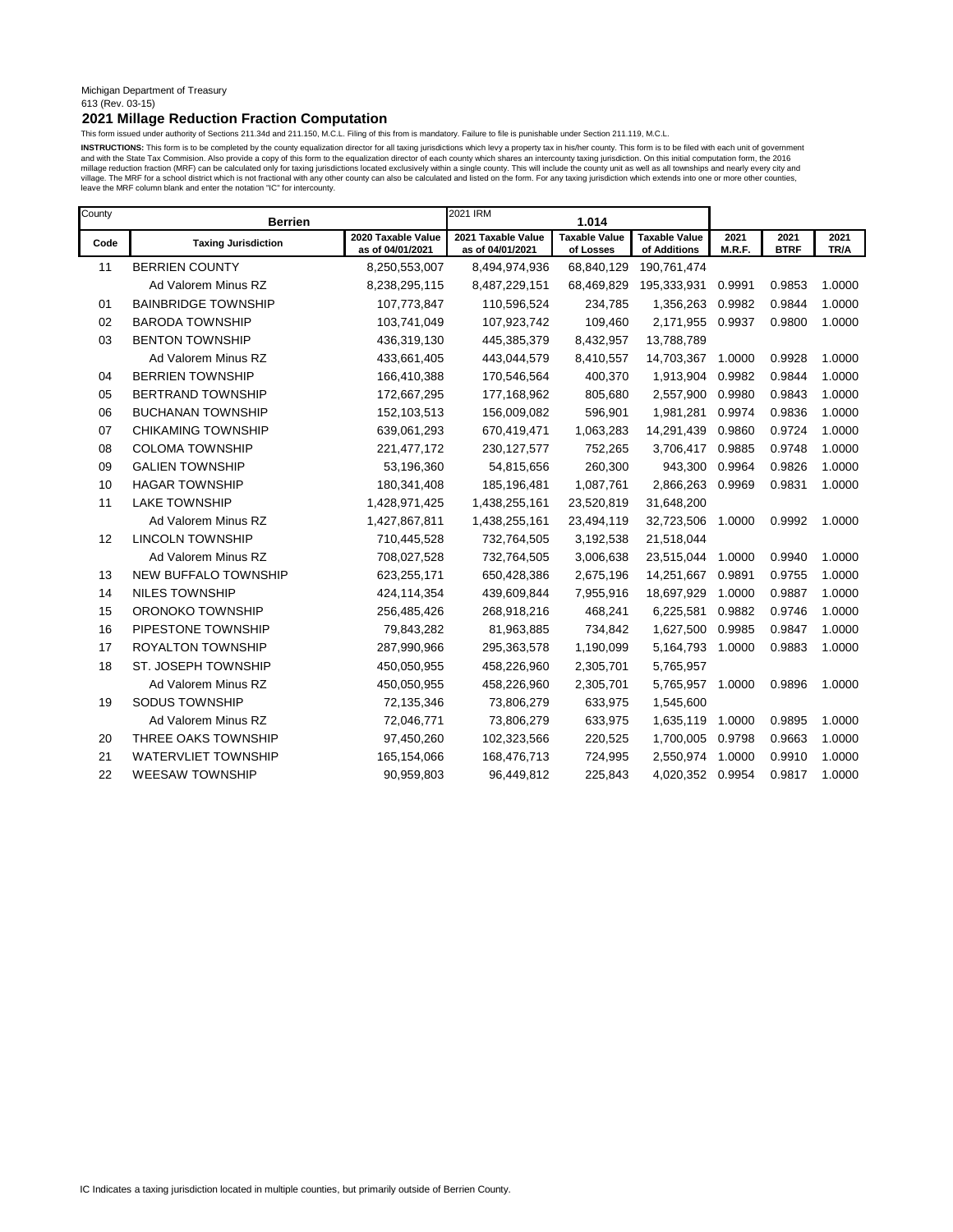#### Michigan Department of Treasury 613 (Rev. 03-15)

# **2021 Millage Reduction Fraction Computation**

This form issued under authority of Sections 211.34d and 211.150, M.C.L. Filing of this from is mandatory. Failure to file is punishable under Section 211.119, M.C.L.

INSTRUCTIONS: This form is to be completed by the county equalization director for all taxing jurisdictions which levy a property tax in his/her county. This form is to be filed with each unit of government and with the State Tax Commision. Also provide a copy of this form to the equalization director of each county which shares an intercounty taxing jurisdiction. On this initial computation form, the 2016<br>millage reduction f leave the MRF column blank and enter the notation "IC" for intercounty.

| County | <b>Berrien</b>             |                                        | 2021 IRM                               | 1.014                             |                                      |                |                     |              |
|--------|----------------------------|----------------------------------------|----------------------------------------|-----------------------------------|--------------------------------------|----------------|---------------------|--------------|
| Code   | <b>Taxing Jurisdiction</b> | 2020 Taxable Value<br>as of 04/01/2021 | 2021 Taxable Value<br>as of 04/01/2021 | <b>Taxable Value</b><br>of Losses | <b>Taxable Value</b><br>of Additions | 2021<br>M.R.F. | 2021<br><b>BTRF</b> | 2021<br>TR/A |
| 11     | <b>BERRIEN COUNTY</b>      | 8,250,553,007                          | 8,494,974,936                          | 68,840,129                        | 190,761,474                          |                |                     |              |
|        | Ad Valorem Minus RZ        | 8,238,295,115                          | 8,487,229,151                          | 68,469,829                        | 195,333,931                          | 0.9991         | 0.9853              | 1.0000       |
| 01     | <b>BAINBRIDGE TOWNSHIP</b> | 107,773,847                            | 110,596,524                            | 234,785                           | 1,356,263                            | 0.9982         | 0.9844              | 1.0000       |
| 02     | <b>BARODA TOWNSHIP</b>     | 103,741,049                            | 107,923,742                            | 109,460                           | 2,171,955                            | 0.9937         | 0.9800              | 1.0000       |
| 03     | <b>BENTON TOWNSHIP</b>     | 436,319,130                            | 445,385,379                            | 8,432,957                         | 13,788,789                           |                |                     |              |
|        | Ad Valorem Minus RZ        | 433,661,405                            | 443,044,579                            | 8,410,557                         | 14,703,367                           | 1.0000         | 0.9928              | 1.0000       |
| 04     | <b>BERRIEN TOWNSHIP</b>    | 166,410,388                            | 170,546,564                            | 400,370                           | 1,913,904                            | 0.9982         | 0.9844              | 1.0000       |
| 05     | <b>BERTRAND TOWNSHIP</b>   | 172,667,295                            | 177,168,962                            | 805,680                           | 2,557,900                            | 0.9980         | 0.9843              | 1.0000       |
| 06     | <b>BUCHANAN TOWNSHIP</b>   | 152,103,513                            | 156,009,082                            | 596,901                           | 1,981,281                            | 0.9974         | 0.9836              | 1.0000       |
| 07     | <b>CHIKAMING TOWNSHIP</b>  | 639,061,293                            | 670,419,471                            | 1,063,283                         | 14,291,439                           | 0.9860         | 0.9724              | 1.0000       |
| 08     | <b>COLOMA TOWNSHIP</b>     | 221,477,172                            | 230, 127, 577                          | 752,265                           | 3,706,417                            | 0.9885         | 0.9748              | 1.0000       |
| 09     | <b>GALIEN TOWNSHIP</b>     | 53,196,360                             | 54,815,656                             | 260,300                           | 943,300                              | 0.9964         | 0.9826              | 1.0000       |
| 10     | <b>HAGAR TOWNSHIP</b>      | 180,341,408                            | 185,196,481                            | 1,087,761                         | 2,866,263                            | 0.9969         | 0.9831              | 1.0000       |
| 11     | <b>LAKE TOWNSHIP</b>       | 1,428,971,425                          | 1,438,255,161                          | 23,520,819                        | 31,648,200                           |                |                     |              |
|        | Ad Valorem Minus RZ        | 1,427,867,811                          | 1,438,255,161                          | 23,494,119                        | 32,723,506                           | 1.0000         | 0.9992              | 1.0000       |
| 12     | <b>LINCOLN TOWNSHIP</b>    | 710,445,528                            | 732,764,505                            | 3,192,538                         | 21,518,044                           |                |                     |              |
|        | Ad Valorem Minus RZ        | 708,027,528                            | 732,764,505                            | 3,006,638                         | 23,515,044                           | 1.0000         | 0.9940              | 1.0000       |
| 13     | NEW BUFFALO TOWNSHIP       | 623,255,171                            | 650,428,386                            | 2,675,196                         | 14,251,667                           | 0.9891         | 0.9755              | 1.0000       |
| 14     | <b>NILES TOWNSHIP</b>      | 424,114,354                            | 439,609,844                            | 7,955,916                         | 18,697,929                           | 1.0000         | 0.9887              | 1.0000       |
| 15     | ORONOKO TOWNSHIP           | 256,485,426                            | 268,918,216                            | 468,241                           | 6,225,581                            | 0.9882         | 0.9746              | 1.0000       |
| 16     | PIPESTONE TOWNSHIP         | 79,843,282                             | 81,963,885                             | 734,842                           | 1,627,500                            | 0.9985         | 0.9847              | 1.0000       |
| 17     | <b>ROYALTON TOWNSHIP</b>   | 287,990,966                            | 295,363,578                            | 1,190,099                         | 5,164,793                            | 1.0000         | 0.9883              | 1.0000       |
| 18     | ST. JOSEPH TOWNSHIP        | 450,050,955                            | 458,226,960                            | 2,305,701                         | 5,765,957                            |                |                     |              |
|        | Ad Valorem Minus RZ        | 450,050,955                            | 458,226,960                            | 2,305,701                         | 5,765,957                            | 1.0000         | 0.9896              | 1.0000       |
| 19     | <b>SODUS TOWNSHIP</b>      | 72,135,346                             | 73,806,279                             | 633,975                           | 1,545,600                            |                |                     |              |
|        | Ad Valorem Minus RZ        | 72,046,771                             | 73,806,279                             | 633,975                           | 1,635,119                            | 1.0000         | 0.9895              | 1.0000       |
| 20     | THREE OAKS TOWNSHIP        | 97,450,260                             | 102,323,566                            | 220,525                           | 1,700,005                            | 0.9798         | 0.9663              | 1.0000       |
| 21     | <b>WATERVLIET TOWNSHIP</b> | 165,154,066                            | 168,476,713                            | 724,995                           | 2,550,974                            | 1.0000         | 0.9910              | 1.0000       |
| 22     | <b>WEESAW TOWNSHIP</b>     | 90,959,803                             | 96,449,812                             | 225,843                           | 4,020,352                            | 0.9954         | 0.9817              | 1.0000       |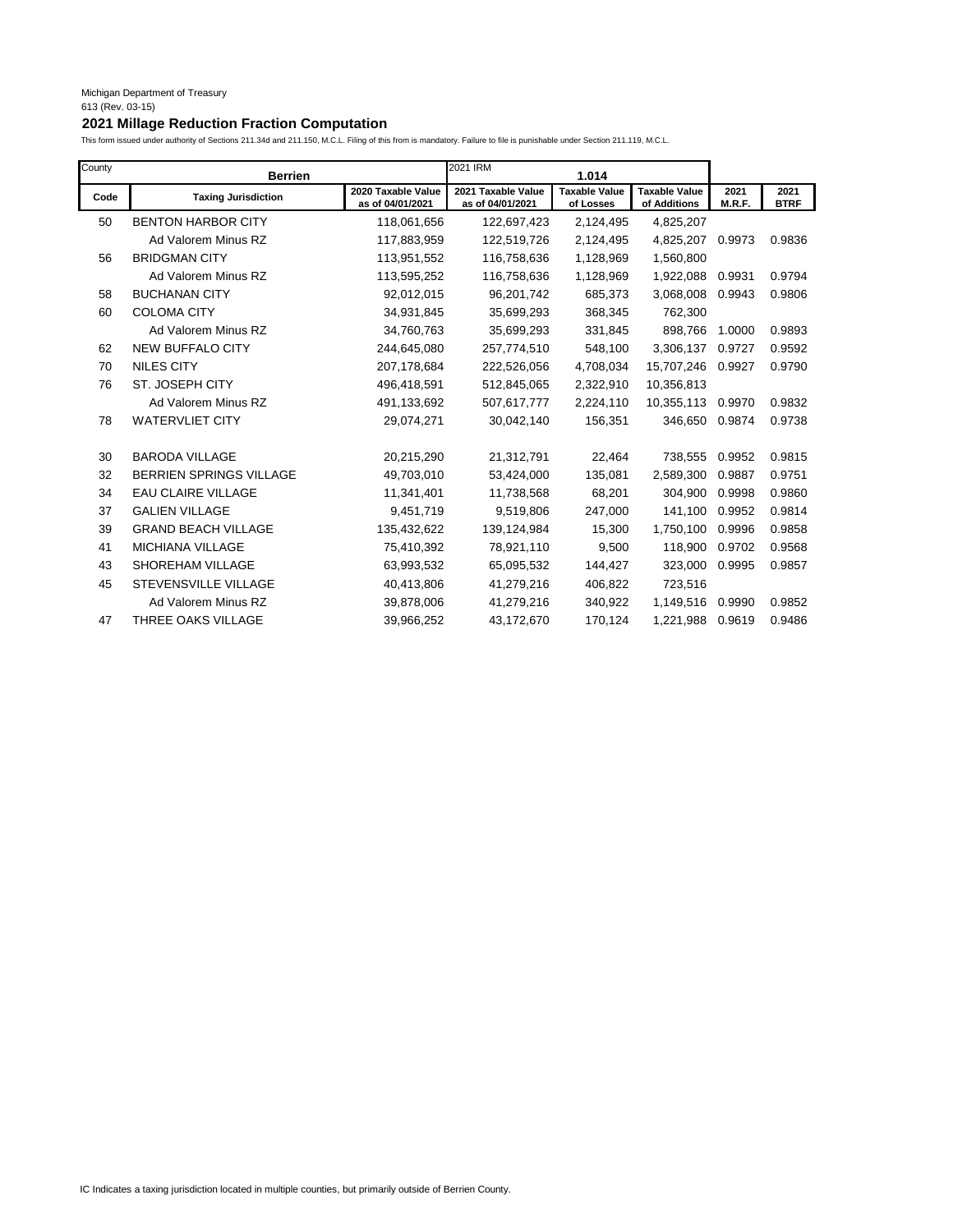I

# **2021 Millage Reduction Fraction Computation**

| County | <b>Berrien</b>                 |                                        | 2021 IRM                               | 1.014                             |                                      |                |                     |
|--------|--------------------------------|----------------------------------------|----------------------------------------|-----------------------------------|--------------------------------------|----------------|---------------------|
| Code   | <b>Taxing Jurisdiction</b>     | 2020 Taxable Value<br>as of 04/01/2021 | 2021 Taxable Value<br>as of 04/01/2021 | <b>Taxable Value</b><br>of Losses | <b>Taxable Value</b><br>of Additions | 2021<br>M.R.F. | 2021<br><b>BTRF</b> |
| 50     | <b>BENTON HARBOR CITY</b>      | 118,061,656                            | 122,697,423                            | 2,124,495                         | 4,825,207                            |                |                     |
|        | Ad Valorem Minus RZ            | 117,883,959                            | 122,519,726                            | 2,124,495                         | 4,825,207                            | 0.9973         | 0.9836              |
| 56     | <b>BRIDGMAN CITY</b>           | 113,951,552                            | 116,758,636                            | 1,128,969                         | 1,560,800                            |                |                     |
|        | Ad Valorem Minus RZ            | 113,595,252                            | 116,758,636                            | 1,128,969                         | 1,922,088                            | 0.9931         | 0.9794              |
| 58     | <b>BUCHANAN CITY</b>           | 92,012,015                             | 96,201,742                             | 685,373                           | 3,068,008                            | 0.9943         | 0.9806              |
| 60     | <b>COLOMA CITY</b>             | 34,931,845                             | 35,699,293                             | 368,345                           | 762,300                              |                |                     |
|        | Ad Valorem Minus RZ            | 34,760,763                             | 35,699,293                             | 331,845                           | 898,766                              | 1.0000         | 0.9893              |
| 62     | <b>NEW BUFFALO CITY</b>        | 244,645,080                            | 257,774,510                            | 548,100                           | 3,306,137                            | 0.9727         | 0.9592              |
| 70     | <b>NILES CITY</b>              | 207,178,684                            | 222,526,056                            | 4,708,034                         | 15,707,246                           | 0.9927         | 0.9790              |
| 76     | <b>ST. JOSEPH CITY</b>         | 496,418,591                            | 512,845,065                            | 2,322,910                         | 10,356,813                           |                |                     |
|        | Ad Valorem Minus RZ            | 491,133,692                            | 507,617,777                            | 2,224,110                         | 10,355,113                           | 0.9970         | 0.9832              |
| 78     | <b>WATERVLIET CITY</b>         | 29,074,271                             | 30,042,140                             | 156,351                           | 346,650                              | 0.9874         | 0.9738              |
| 30     | <b>BARODA VILLAGE</b>          | 20,215,290                             | 21,312,791                             | 22,464                            | 738,555                              | 0.9952         | 0.9815              |
| 32     | <b>BERRIEN SPRINGS VILLAGE</b> | 49,703,010                             | 53,424,000                             | 135,081                           | 2,589,300                            | 0.9887         | 0.9751              |
| 34     | <b>EAU CLAIRE VILLAGE</b>      | 11,341,401                             | 11,738,568                             | 68,201                            | 304,900                              | 0.9998         | 0.9860              |
| 37     | <b>GALIEN VILLAGE</b>          | 9,451,719                              | 9,519,806                              | 247,000                           | 141,100                              | 0.9952         | 0.9814              |
| 39     | <b>GRAND BEACH VILLAGE</b>     | 135,432,622                            | 139,124,984                            | 15,300                            | 1,750,100                            | 0.9996         | 0.9858              |
| 41     | <b>MICHIANA VILLAGE</b>        | 75,410,392                             | 78,921,110                             | 9,500                             | 118.900                              | 0.9702         | 0.9568              |
| 43     | SHOREHAM VILLAGE               | 63,993,532                             | 65,095,532                             | 144,427                           | 323,000                              | 0.9995         | 0.9857              |
| 45     | <b>STEVENSVILLE VILLAGE</b>    | 40,413,806                             | 41,279,216                             | 406,822                           | 723,516                              |                |                     |
|        | Ad Valorem Minus RZ            | 39,878,006                             | 41,279,216                             | 340,922                           | 1,149,516                            | 0.9990         | 0.9852              |
| 47     | THREE OAKS VILLAGE             | 39.966.252                             | 43,172,670                             | 170.124                           | 1.221.988                            | 0.9619         | 0.9486              |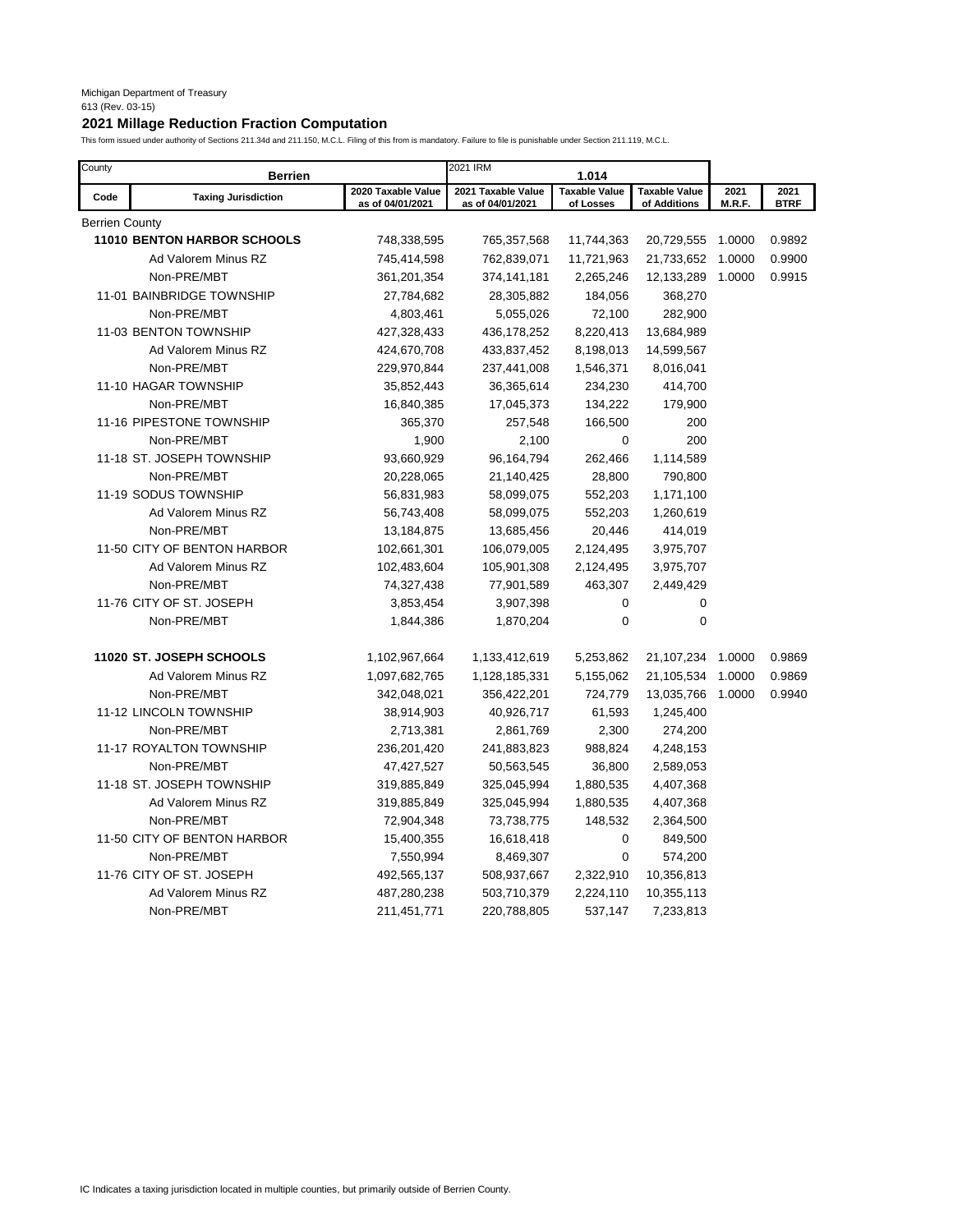# **2021 Millage Reduction Fraction Computation**

| County         | <b>Berrien</b>                     |                                        | 2021 IRM                               | 1.014                             |                                      |                |                     |
|----------------|------------------------------------|----------------------------------------|----------------------------------------|-----------------------------------|--------------------------------------|----------------|---------------------|
| Code           | <b>Taxing Jurisdiction</b>         | 2020 Taxable Value<br>as of 04/01/2021 | 2021 Taxable Value<br>as of 04/01/2021 | <b>Taxable Value</b><br>of Losses | <b>Taxable Value</b><br>of Additions | 2021<br>M.R.F. | 2021<br><b>BTRF</b> |
| Berrien County |                                    |                                        |                                        |                                   |                                      |                |                     |
|                | <b>11010 BENTON HARBOR SCHOOLS</b> | 748,338,595                            | 765,357,568                            | 11,744,363                        | 20,729,555                           | 1.0000         | 0.9892              |
|                | Ad Valorem Minus RZ                | 745,414,598                            | 762,839,071                            | 11,721,963                        | 21,733,652                           | 1.0000         | 0.9900              |
|                | Non-PRE/MBT                        | 361,201,354                            | 374,141,181                            | 2,265,246                         | 12,133,289                           | 1.0000         | 0.9915              |
|                | 11-01 BAINBRIDGE TOWNSHIP          | 27,784,682                             | 28,305,882                             | 184,056                           | 368,270                              |                |                     |
|                | Non-PRE/MBT                        | 4,803,461                              | 5,055,026                              | 72,100                            | 282,900                              |                |                     |
|                | 11-03 BENTON TOWNSHIP              | 427,328,433                            | 436,178,252                            | 8,220,413                         | 13,684,989                           |                |                     |
|                | Ad Valorem Minus RZ                | 424,670,708                            | 433,837,452                            | 8,198,013                         | 14,599,567                           |                |                     |
|                | Non-PRE/MBT                        | 229,970,844                            | 237,441,008                            | 1,546,371                         | 8,016,041                            |                |                     |
|                | 11-10 HAGAR TOWNSHIP               | 35,852,443                             | 36,365,614                             | 234,230                           | 414,700                              |                |                     |
|                | Non-PRE/MBT                        | 16,840,385                             | 17,045,373                             | 134,222                           | 179,900                              |                |                     |
|                | 11-16 PIPESTONE TOWNSHIP           | 365,370                                | 257,548                                | 166,500                           | 200                                  |                |                     |
|                | Non-PRE/MBT                        | 1,900                                  | 2,100                                  | 0                                 | 200                                  |                |                     |
|                | 11-18 ST. JOSEPH TOWNSHIP          | 93,660,929                             | 96,164,794                             | 262,466                           | 1,114,589                            |                |                     |
|                | Non-PRE/MBT                        | 20,228,065                             | 21,140,425                             | 28,800                            | 790,800                              |                |                     |
|                | 11-19 SODUS TOWNSHIP               | 56,831,983                             | 58,099,075                             | 552,203                           | 1,171,100                            |                |                     |
|                | Ad Valorem Minus RZ                | 56,743,408                             | 58,099,075                             | 552,203                           | 1,260,619                            |                |                     |
|                | Non-PRE/MBT                        | 13,184,875                             | 13,685,456                             | 20,446                            | 414,019                              |                |                     |
|                | 11-50 CITY OF BENTON HARBOR        | 102,661,301                            | 106,079,005                            | 2,124,495                         | 3,975,707                            |                |                     |
|                | Ad Valorem Minus RZ                | 102,483,604                            | 105,901,308                            | 2,124,495                         | 3,975,707                            |                |                     |
|                | Non-PRE/MBT                        | 74,327,438                             | 77,901,589                             | 463,307                           | 2,449,429                            |                |                     |
|                | 11-76 CITY OF ST. JOSEPH           | 3,853,454                              | 3,907,398                              | 0                                 | 0                                    |                |                     |
|                | Non-PRE/MBT                        | 1,844,386                              | 1,870,204                              | 0                                 | $\pmb{0}$                            |                |                     |
|                | 11020 ST. JOSEPH SCHOOLS           | 1,102,967,664                          | 1,133,412,619                          | 5,253,862                         | 21,107,234                           | 1.0000         | 0.9869              |
|                | Ad Valorem Minus RZ                | 1,097,682,765                          | 1,128,185,331                          | 5,155,062                         | 21,105,534                           | 1.0000         | 0.9869              |
|                | Non-PRE/MBT                        | 342,048,021                            | 356,422,201                            | 724,779                           | 13,035,766                           | 1.0000         | 0.9940              |
|                | 11-12 LINCOLN TOWNSHIP             | 38,914,903                             | 40,926,717                             | 61,593                            | 1,245,400                            |                |                     |
|                | Non-PRE/MBT                        | 2,713,381                              | 2,861,769                              | 2,300                             | 274,200                              |                |                     |
|                | 11-17 ROYALTON TOWNSHIP            | 236,201,420                            | 241,883,823                            | 988,824                           | 4,248,153                            |                |                     |
|                | Non-PRE/MBT                        | 47,427,527                             | 50,563,545                             | 36,800                            | 2,589,053                            |                |                     |
|                | 11-18 ST. JOSEPH TOWNSHIP          | 319,885,849                            | 325,045,994                            | 1,880,535                         | 4,407,368                            |                |                     |
|                | Ad Valorem Minus RZ                | 319,885,849                            | 325,045,994                            | 1,880,535                         | 4,407,368                            |                |                     |
|                | Non-PRE/MBT                        | 72,904,348                             | 73,738,775                             | 148,532                           | 2,364,500                            |                |                     |
|                | 11-50 CITY OF BENTON HARBOR        | 15,400,355                             | 16,618,418                             | 0                                 | 849,500                              |                |                     |
|                | Non-PRE/MBT                        | 7,550,994                              | 8,469,307                              | $\mathbf 0$                       | 574,200                              |                |                     |
|                | 11-76 CITY OF ST. JOSEPH           | 492,565,137                            | 508,937,667                            | 2,322,910                         | 10,356,813                           |                |                     |
|                | Ad Valorem Minus RZ                | 487,280,238                            | 503,710,379                            | 2,224,110                         | 10,355,113                           |                |                     |
|                | Non-PRE/MBT                        | 211,451,771                            | 220,788,805                            | 537,147                           | 7,233,813                            |                |                     |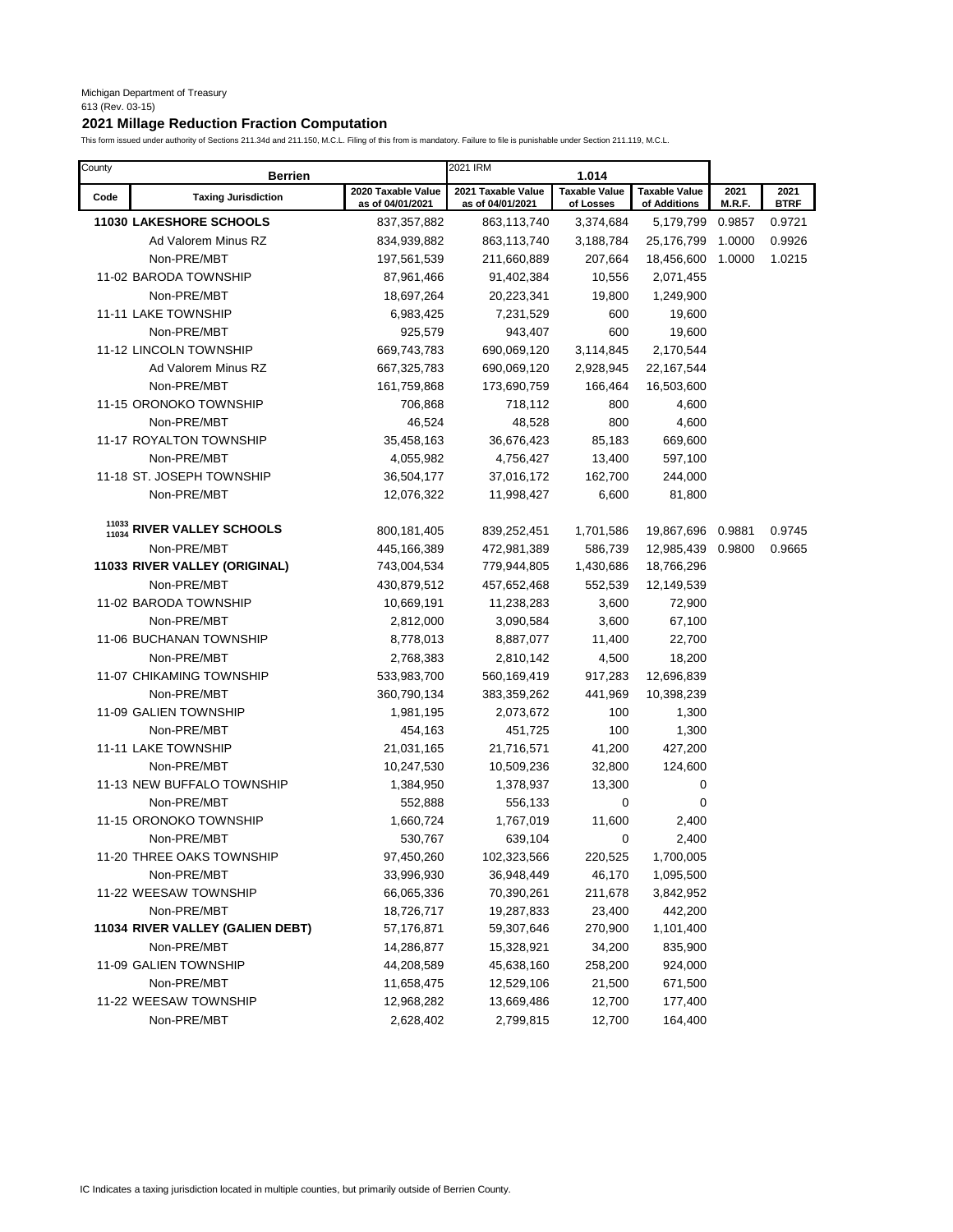# **2021 Millage Reduction Fraction Computation**

| County         | <b>Berrien</b>                   |                                        | 2021 IRM                               | 1.014                             |                                      |                |                     |
|----------------|----------------------------------|----------------------------------------|----------------------------------------|-----------------------------------|--------------------------------------|----------------|---------------------|
| Code           | <b>Taxing Jurisdiction</b>       | 2020 Taxable Value<br>as of 04/01/2021 | 2021 Taxable Value<br>as of 04/01/2021 | <b>Taxable Value</b><br>of Losses | <b>Taxable Value</b><br>of Additions | 2021<br>M.R.F. | 2021<br><b>BTRF</b> |
|                | <b>11030 LAKESHORE SCHOOLS</b>   | 837, 357, 882                          | 863,113,740                            | 3,374,684                         | 5,179,799                            | 0.9857         | 0.9721              |
|                | Ad Valorem Minus RZ              | 834,939,882                            | 863,113,740                            | 3,188,784                         | 25,176,799                           | 1.0000         | 0.9926              |
|                | Non-PRE/MBT                      | 197,561,539                            | 211,660,889                            | 207,664                           | 18,456,600                           | 1.0000         | 1.0215              |
|                | 11-02 BARODA TOWNSHIP            | 87,961,466                             | 91,402,384                             | 10,556                            | 2,071,455                            |                |                     |
|                | Non-PRE/MBT                      | 18,697,264                             | 20,223,341                             | 19,800                            | 1,249,900                            |                |                     |
|                | 11-11 LAKE TOWNSHIP              | 6,983,425                              | 7,231,529                              | 600                               | 19,600                               |                |                     |
|                | Non-PRE/MBT                      | 925,579                                | 943,407                                | 600                               | 19,600                               |                |                     |
|                | 11-12 LINCOLN TOWNSHIP           | 669,743,783                            | 690,069,120                            | 3,114,845                         | 2,170,544                            |                |                     |
|                | Ad Valorem Minus RZ              | 667,325,783                            | 690,069,120                            | 2,928,945                         | 22,167,544                           |                |                     |
|                | Non-PRE/MBT                      | 161,759,868                            | 173,690,759                            | 166,464                           | 16,503,600                           |                |                     |
|                | 11-15 ORONOKO TOWNSHIP           | 706,868                                | 718,112                                | 800                               | 4,600                                |                |                     |
|                | Non-PRE/MBT                      | 46,524                                 | 48,528                                 | 800                               | 4,600                                |                |                     |
|                | 11-17 ROYALTON TOWNSHIP          | 35,458,163                             | 36,676,423                             | 85,183                            | 669,600                              |                |                     |
|                | Non-PRE/MBT                      | 4,055,982                              | 4,756,427                              | 13,400                            | 597,100                              |                |                     |
|                | 11-18 ST. JOSEPH TOWNSHIP        | 36,504,177                             | 37,016,172                             | 162,700                           | 244,000                              |                |                     |
|                | Non-PRE/MBT                      | 12,076,322                             | 11,998,427                             | 6,600                             | 81,800                               |                |                     |
|                |                                  |                                        |                                        |                                   |                                      |                |                     |
| 11033<br>11034 | RIVER VALLEY SCHOOLS             | 800,181,405                            | 839,252,451                            | 1,701,586                         | 19,867,696                           | 0.9881         | 0.9745              |
|                | Non-PRE/MBT                      | 445,166,389                            | 472,981,389                            | 586,739                           | 12,985,439 0.9800                    |                | 0.9665              |
|                | 11033 RIVER VALLEY (ORIGINAL)    | 743,004,534                            | 779,944,805                            | 1,430,686                         | 18,766,296                           |                |                     |
|                | Non-PRE/MBT                      | 430,879,512                            | 457,652,468                            | 552,539                           | 12,149,539                           |                |                     |
|                | 11-02 BARODA TOWNSHIP            | 10,669,191                             | 11,238,283                             | 3,600                             | 72,900                               |                |                     |
|                | Non-PRE/MBT                      | 2,812,000                              | 3,090,584                              | 3,600                             | 67,100                               |                |                     |
|                | 11-06 BUCHANAN TOWNSHIP          | 8,778,013                              | 8,887,077                              | 11,400                            | 22,700                               |                |                     |
|                | Non-PRE/MBT                      | 2,768,383                              | 2,810,142                              | 4,500                             | 18,200                               |                |                     |
|                | 11-07 CHIKAMING TOWNSHIP         | 533,983,700                            | 560,169,419                            | 917,283                           | 12,696,839                           |                |                     |
|                | Non-PRE/MBT                      | 360,790,134                            | 383,359,262                            | 441,969                           | 10,398,239                           |                |                     |
|                | 11-09 GALIEN TOWNSHIP            | 1,981,195                              | 2,073,672                              | 100                               | 1,300                                |                |                     |
|                | Non-PRE/MBT                      | 454,163                                | 451,725                                | 100                               | 1,300                                |                |                     |
|                | 11-11 LAKE TOWNSHIP              | 21,031,165                             | 21,716,571                             | 41,200                            | 427,200                              |                |                     |
|                | Non-PRE/MBT                      | 10,247,530                             | 10,509,236                             | 32,800                            | 124,600                              |                |                     |
|                | 11-13 NEW BUFFALO TOWNSHIP       | 1,384,950                              | 1,378,937                              | 13,300                            | 0                                    |                |                     |
|                | Non-PRE/MBT                      | 552,888                                | 556,133                                | 0                                 | $\mathbf 0$                          |                |                     |
|                | 11-15 ORONOKO TOWNSHIP           | 1,660,724                              | 1,767,019                              | 11,600                            | 2,400                                |                |                     |
|                | Non-PRE/MBT                      | 530,767                                | 639,104                                | 0                                 | 2,400                                |                |                     |
|                | 11-20 THREE OAKS TOWNSHIP        | 97,450,260                             | 102,323,566                            | 220,525                           | 1,700,005                            |                |                     |
|                | Non-PRE/MBT                      | 33,996,930                             | 36,948,449                             | 46,170                            | 1,095,500                            |                |                     |
|                | 11-22 WEESAW TOWNSHIP            | 66,065,336                             | 70,390,261                             | 211,678                           | 3,842,952                            |                |                     |
|                | Non-PRE/MBT                      | 18,726,717                             | 19,287,833                             | 23,400                            | 442,200                              |                |                     |
|                | 11034 RIVER VALLEY (GALIEN DEBT) | 57,176,871                             | 59,307,646                             | 270,900                           | 1,101,400                            |                |                     |
|                | Non-PRE/MBT                      | 14,286,877                             | 15,328,921                             | 34,200                            | 835,900                              |                |                     |
|                | 11-09 GALIEN TOWNSHIP            | 44,208,589                             | 45,638,160                             | 258,200                           | 924,000                              |                |                     |
|                | Non-PRE/MBT                      | 11,658,475                             | 12,529,106                             | 21,500                            | 671,500                              |                |                     |
|                | 11-22 WEESAW TOWNSHIP            | 12,968,282                             | 13,669,486                             | 12,700                            | 177,400                              |                |                     |
|                | Non-PRE/MBT                      | 2,628,402                              | 2,799,815                              | 12,700                            | 164,400                              |                |                     |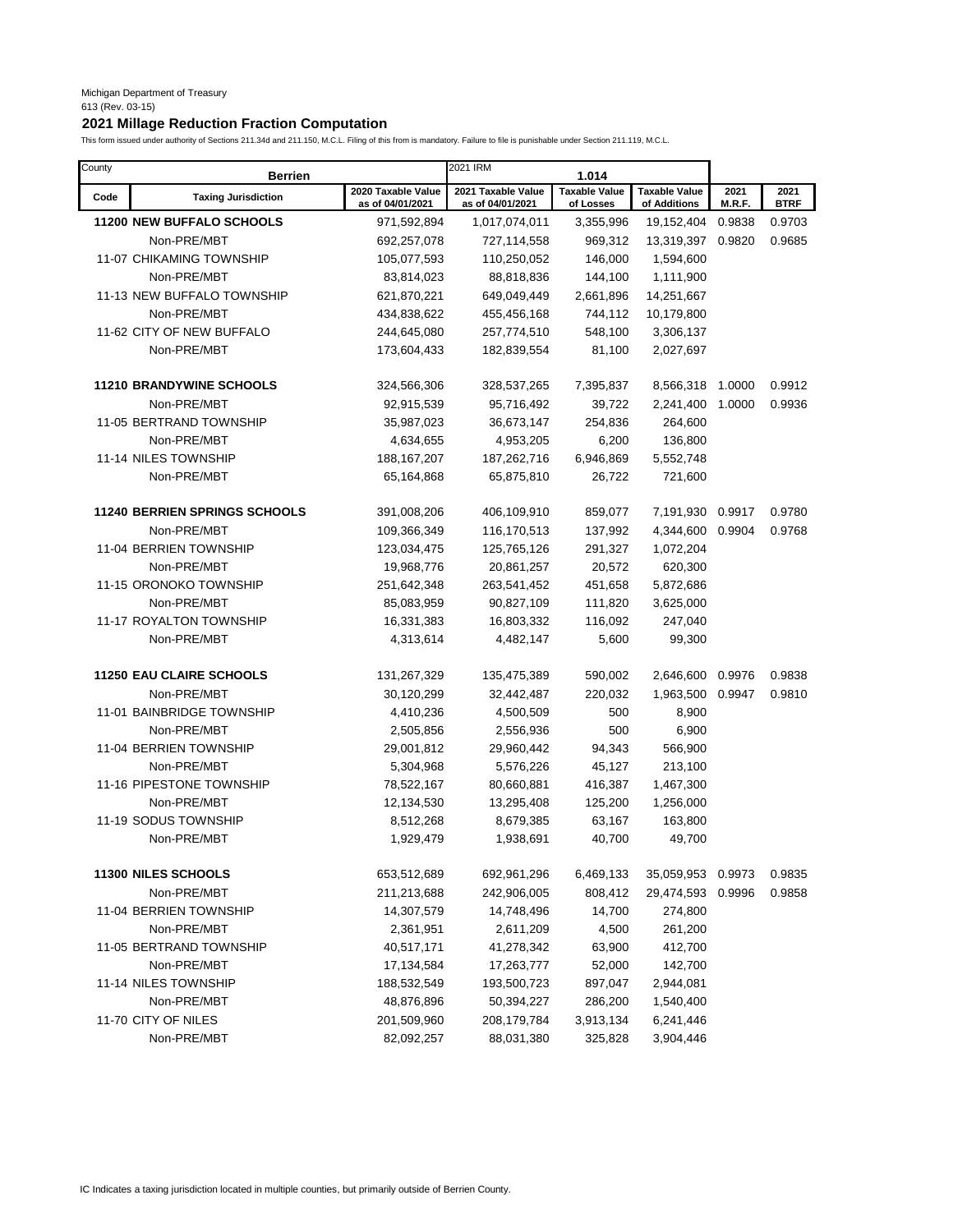# **2021 Millage Reduction Fraction Computation**

| County | <b>Berrien</b>                       |                                        | 2021 IRM                               | 1.014                             |                                      |                |                     |
|--------|--------------------------------------|----------------------------------------|----------------------------------------|-----------------------------------|--------------------------------------|----------------|---------------------|
| Code   | <b>Taxing Jurisdiction</b>           | 2020 Taxable Value<br>as of 04/01/2021 | 2021 Taxable Value<br>as of 04/01/2021 | <b>Taxable Value</b><br>of Losses | <b>Taxable Value</b><br>of Additions | 2021<br>M.R.F. | 2021<br><b>BTRF</b> |
|        | <b>11200 NEW BUFFALO SCHOOLS</b>     | 971,592,894                            | 1,017,074,011                          | 3,355,996                         | 19,152,404                           | 0.9838         | 0.9703              |
|        | Non-PRE/MBT                          | 692,257,078                            | 727,114,558                            | 969,312                           | 13,319,397                           | 0.9820         | 0.9685              |
|        | 11-07 CHIKAMING TOWNSHIP             | 105,077,593                            | 110,250,052                            | 146,000                           | 1,594,600                            |                |                     |
|        | Non-PRE/MBT                          | 83,814,023                             | 88,818,836                             | 144,100                           | 1,111,900                            |                |                     |
|        | 11-13 NEW BUFFALO TOWNSHIP           | 621,870,221                            | 649,049,449                            | 2,661,896                         | 14,251,667                           |                |                     |
|        | Non-PRE/MBT                          | 434,838,622                            | 455,456,168                            | 744,112                           | 10,179,800                           |                |                     |
|        | 11-62 CITY OF NEW BUFFALO            | 244,645,080                            | 257,774,510                            | 548,100                           | 3,306,137                            |                |                     |
|        | Non-PRE/MBT                          | 173,604,433                            | 182,839,554                            | 81,100                            | 2,027,697                            |                |                     |
|        | <b>11210 BRANDYWINE SCHOOLS</b>      | 324,566,306                            | 328,537,265                            | 7,395,837                         | 8,566,318                            | 1.0000         | 0.9912              |
|        | Non-PRE/MBT                          | 92,915,539                             | 95,716,492                             | 39,722                            | 2,241,400                            | 1.0000         | 0.9936              |
|        | 11-05 BERTRAND TOWNSHIP              | 35,987,023                             | 36,673,147                             | 254,836                           | 264,600                              |                |                     |
|        | Non-PRE/MBT                          | 4,634,655                              | 4,953,205                              | 6,200                             | 136,800                              |                |                     |
|        | 11-14 NILES TOWNSHIP                 | 188, 167, 207                          | 187,262,716                            | 6,946,869                         | 5,552,748                            |                |                     |
|        | Non-PRE/MBT                          | 65,164,868                             | 65,875,810                             | 26,722                            | 721,600                              |                |                     |
|        |                                      |                                        |                                        |                                   |                                      |                |                     |
|        | <b>11240 BERRIEN SPRINGS SCHOOLS</b> | 391,008,206                            | 406,109,910                            | 859,077                           | 7,191,930                            | 0.9917         | 0.9780              |
|        | Non-PRE/MBT                          | 109,366,349                            | 116,170,513                            | 137,992                           | 4,344,600                            | 0.9904         | 0.9768              |
|        | 11-04 BERRIEN TOWNSHIP               | 123,034,475                            | 125,765,126                            | 291,327                           | 1,072,204                            |                |                     |
|        | Non-PRE/MBT                          | 19,968,776                             | 20,861,257                             | 20,572                            | 620,300                              |                |                     |
|        | 11-15 ORONOKO TOWNSHIP               | 251,642,348                            | 263,541,452                            | 451,658                           | 5,872,686                            |                |                     |
|        | Non-PRE/MBT                          | 85,083,959                             | 90,827,109                             | 111,820                           | 3,625,000                            |                |                     |
|        | 11-17 ROYALTON TOWNSHIP              | 16,331,383                             | 16,803,332                             | 116,092                           | 247,040                              |                |                     |
|        | Non-PRE/MBT                          | 4,313,614                              | 4,482,147                              | 5,600                             | 99,300                               |                |                     |
|        | <b>11250 EAU CLAIRE SCHOOLS</b>      | 131,267,329                            | 135,475,389                            | 590,002                           | 2,646,600                            | 0.9976         | 0.9838              |
|        | Non-PRE/MBT                          | 30,120,299                             | 32,442,487                             | 220,032                           | 1,963,500                            | 0.9947         | 0.9810              |
|        | 11-01 BAINBRIDGE TOWNSHIP            | 4,410,236                              | 4,500,509                              | 500                               | 8,900                                |                |                     |
|        | Non-PRE/MBT                          | 2,505,856                              | 2,556,936                              | 500                               | 6,900                                |                |                     |
|        | 11-04 BERRIEN TOWNSHIP               | 29,001,812                             | 29,960,442                             | 94,343                            | 566,900                              |                |                     |
|        | Non-PRE/MBT                          | 5,304,968                              | 5,576,226                              | 45,127                            | 213,100                              |                |                     |
|        | 11-16 PIPESTONE TOWNSHIP             | 78,522,167                             | 80,660,881                             | 416,387                           | 1,467,300                            |                |                     |
|        | Non-PRE/MBT                          | 12,134,530                             | 13,295,408                             | 125,200                           | 1,256,000                            |                |                     |
|        | 11-19 SODUS TOWNSHIP                 | 8,512,268                              | 8,679,385                              | 63,167                            | 163,800                              |                |                     |
|        | Non-PRE/MBT                          | 1,929,479                              | 1,938,691                              | 40,700                            | 49,700                               |                |                     |
|        | 11300 NILES SCHOOLS                  | 653,512,689                            | 692, 961, 296                          | 6,469,133                         | 35,059,953                           | 0.9973         | 0.9835              |
|        | Non-PRE/MBT                          | 211,213,688                            | 242,906,005                            | 808,412                           | 29,474,593                           | 0.9996         | 0.9858              |
|        | 11-04 BERRIEN TOWNSHIP               | 14,307,579                             | 14,748,496                             | 14,700                            | 274,800                              |                |                     |
|        | Non-PRE/MBT                          | 2,361,951                              | 2,611,209                              | 4,500                             | 261,200                              |                |                     |
|        | 11-05 BERTRAND TOWNSHIP              | 40,517,171                             | 41,278,342                             | 63,900                            | 412,700                              |                |                     |
|        | Non-PRE/MBT                          | 17,134,584                             | 17,263,777                             | 52,000                            | 142,700                              |                |                     |
|        | 11-14 NILES TOWNSHIP                 | 188,532,549                            | 193,500,723                            | 897,047                           | 2,944,081                            |                |                     |
|        | Non-PRE/MBT                          | 48,876,896                             | 50,394,227                             | 286,200                           | 1,540,400                            |                |                     |
|        | 11-70 CITY OF NILES                  | 201,509,960                            | 208,179,784                            | 3,913,134                         | 6,241,446                            |                |                     |
|        | Non-PRE/MBT                          | 82,092,257                             | 88,031,380                             | 325,828                           | 3,904,446                            |                |                     |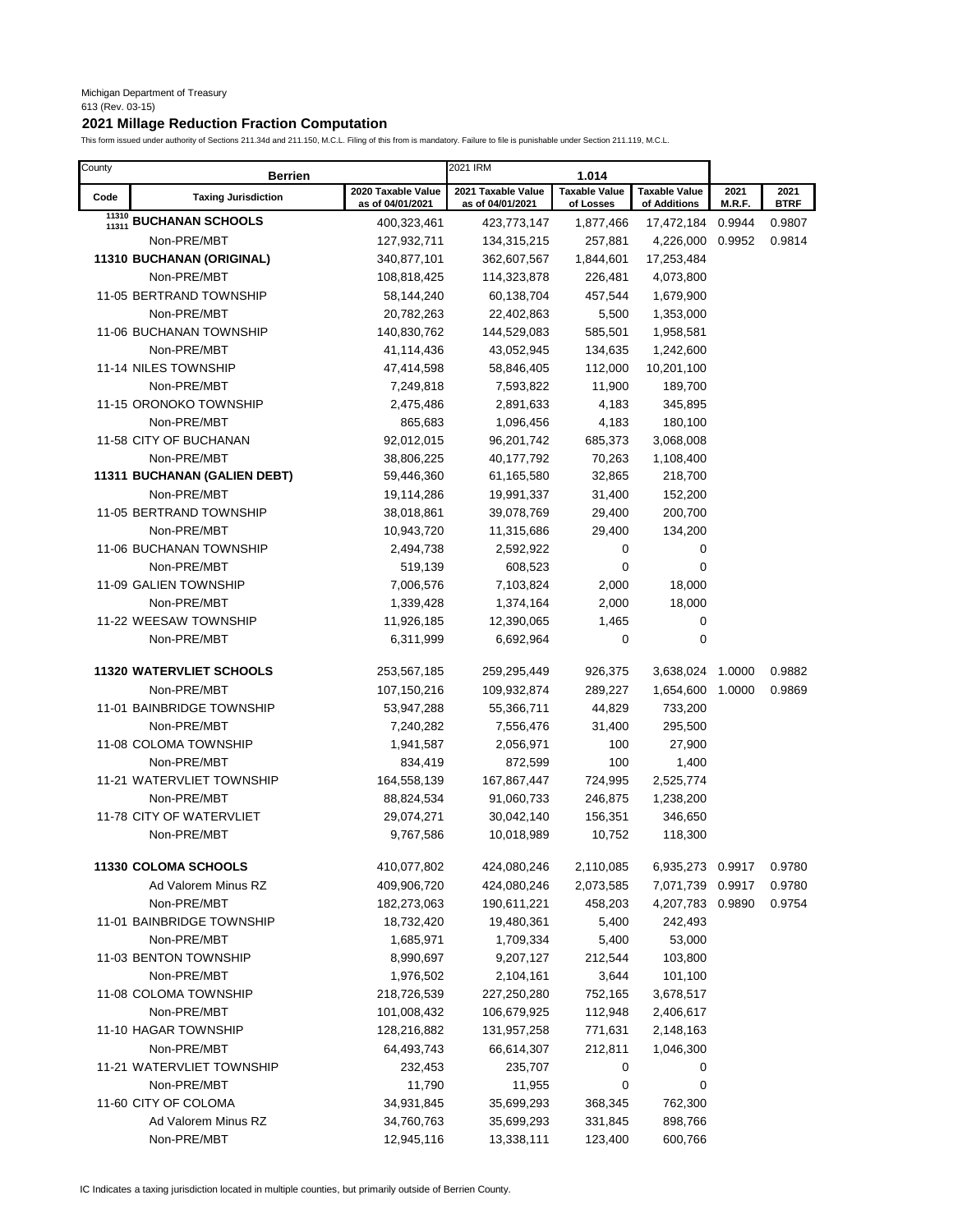# **2021 Millage Reduction Fraction Computation**

| County         | <b>Berrien</b>                  |                                        | 2021 IRM                               | 1.014                             |                                      |                |                     |
|----------------|---------------------------------|----------------------------------------|----------------------------------------|-----------------------------------|--------------------------------------|----------------|---------------------|
| Code           | <b>Taxing Jurisdiction</b>      | 2020 Taxable Value<br>as of 04/01/2021 | 2021 Taxable Value<br>as of 04/01/2021 | <b>Taxable Value</b><br>of Losses | <b>Taxable Value</b><br>of Additions | 2021<br>M.R.F. | 2021<br><b>BTRF</b> |
| 11310<br>11311 | <b>BUCHANAN SCHOOLS</b>         | 400,323,461                            | 423,773,147                            | 1,877,466                         | 17,472,184                           | 0.9944         | 0.9807              |
|                | Non-PRE/MBT                     | 127,932,711                            | 134,315,215                            | 257,881                           | 4,226,000                            | 0.9952         | 0.9814              |
|                | 11310 BUCHANAN (ORIGINAL)       | 340,877,101                            | 362,607,567                            | 1,844,601                         | 17,253,484                           |                |                     |
|                | Non-PRE/MBT                     | 108,818,425                            | 114,323,878                            | 226,481                           | 4,073,800                            |                |                     |
|                | 11-05 BERTRAND TOWNSHIP         | 58,144,240                             | 60,138,704                             | 457,544                           | 1,679,900                            |                |                     |
|                | Non-PRE/MBT                     | 20,782,263                             | 22,402,863                             | 5,500                             | 1,353,000                            |                |                     |
|                | 11-06 BUCHANAN TOWNSHIP         | 140,830,762                            | 144,529,083                            | 585,501                           | 1,958,581                            |                |                     |
|                | Non-PRE/MBT                     | 41,114,436                             | 43,052,945                             | 134,635                           | 1,242,600                            |                |                     |
|                | 11-14 NILES TOWNSHIP            | 47,414,598                             | 58,846,405                             | 112,000                           | 10,201,100                           |                |                     |
|                | Non-PRE/MBT                     | 7,249,818                              | 7,593,822                              | 11,900                            | 189,700                              |                |                     |
|                | 11-15 ORONOKO TOWNSHIP          | 2,475,486                              | 2,891,633                              | 4,183                             | 345,895                              |                |                     |
|                | Non-PRE/MBT                     | 865,683                                | 1,096,456                              | 4,183                             | 180,100                              |                |                     |
|                | 11-58 CITY OF BUCHANAN          | 92,012,015                             | 96,201,742                             | 685,373                           | 3,068,008                            |                |                     |
|                | Non-PRE/MBT                     | 38,806,225                             | 40,177,792                             | 70,263                            | 1,108,400                            |                |                     |
|                | 11311 BUCHANAN (GALIEN DEBT)    | 59,446,360                             | 61,165,580                             | 32,865                            | 218,700                              |                |                     |
|                | Non-PRE/MBT                     | 19,114,286                             | 19,991,337                             | 31,400                            | 152,200                              |                |                     |
|                | 11-05 BERTRAND TOWNSHIP         | 38,018,861                             | 39,078,769                             | 29,400                            | 200,700                              |                |                     |
|                | Non-PRE/MBT                     | 10,943,720                             | 11,315,686                             | 29,400                            | 134,200                              |                |                     |
|                | 11-06 BUCHANAN TOWNSHIP         | 2,494,738                              | 2,592,922                              | 0                                 | 0                                    |                |                     |
|                | Non-PRE/MBT                     | 519,139                                | 608,523                                | $\mathbf 0$                       | 0                                    |                |                     |
|                | 11-09 GALIEN TOWNSHIP           | 7,006,576                              | 7,103,824                              | 2,000                             | 18,000                               |                |                     |
|                | Non-PRE/MBT                     | 1,339,428                              | 1,374,164                              | 2,000                             | 18,000                               |                |                     |
|                | 11-22 WEESAW TOWNSHIP           | 11,926,185                             | 12,390,065                             | 1,465                             | 0                                    |                |                     |
|                | Non-PRE/MBT                     | 6,311,999                              | 6,692,964                              | 0                                 | 0                                    |                |                     |
|                | <b>11320 WATERVLIET SCHOOLS</b> | 253,567,185                            | 259,295,449                            | 926,375                           | 3,638,024 1.0000                     |                | 0.9882              |
|                | Non-PRE/MBT                     | 107,150,216                            | 109,932,874                            | 289,227                           | 1,654,600                            | 1.0000         | 0.9869              |
|                | 11-01 BAINBRIDGE TOWNSHIP       | 53,947,288                             | 55,366,711                             | 44,829                            | 733,200                              |                |                     |
|                | Non-PRE/MBT                     | 7,240,282                              | 7,556,476                              | 31,400                            | 295,500                              |                |                     |
|                | 11-08 COLOMA TOWNSHIP           | 1,941,587                              | 2,056,971                              | 100                               | 27,900                               |                |                     |
|                | Non-PRE/MBT                     | 834,419                                | 872,599                                | 100                               | 1,400                                |                |                     |
|                | 11-21 WATERVLIET TOWNSHIP       | 164,558,139                            | 167,867,447                            | 724,995                           | 2,525,774                            |                |                     |
|                | Non-PRE/MBT                     | 88,824,534                             | 91,060,733                             | 246,875                           | 1,238,200                            |                |                     |
|                | 11-78 CITY OF WATERVLIET        | 29,074,271                             | 30,042,140                             | 156,351                           | 346,650                              |                |                     |
|                | Non-PRE/MBT                     | 9,767,586                              | 10,018,989                             | 10,752                            | 118,300                              |                |                     |
|                | <b>11330 COLOMA SCHOOLS</b>     | 410,077,802                            | 424,080,246                            | 2,110,085                         | 6,935,273 0.9917                     |                | 0.9780              |
|                | Ad Valorem Minus RZ             | 409,906,720                            | 424,080,246                            | 2,073,585                         | 7,071,739                            | 0.9917         | 0.9780              |
|                | Non-PRE/MBT                     | 182,273,063                            | 190,611,221                            | 458,203                           | 4,207,783                            | 0.9890         | 0.9754              |
|                | 11-01 BAINBRIDGE TOWNSHIP       | 18,732,420                             | 19,480,361                             | 5,400                             | 242,493                              |                |                     |
|                | Non-PRE/MBT                     | 1,685,971                              | 1,709,334                              | 5,400                             | 53,000                               |                |                     |
|                | 11-03 BENTON TOWNSHIP           | 8,990,697                              | 9,207,127                              | 212,544                           | 103,800                              |                |                     |
|                | Non-PRE/MBT                     | 1,976,502                              | 2,104,161                              | 3,644                             | 101,100                              |                |                     |
|                | 11-08 COLOMA TOWNSHIP           | 218,726,539                            | 227,250,280                            | 752,165                           | 3,678,517                            |                |                     |
|                | Non-PRE/MBT                     | 101,008,432                            | 106,679,925                            | 112,948                           | 2,406,617                            |                |                     |
|                | 11-10 HAGAR TOWNSHIP            | 128,216,882                            | 131,957,258                            | 771,631                           | 2,148,163                            |                |                     |
|                | Non-PRE/MBT                     | 64,493,743                             | 66,614,307                             | 212,811                           | 1,046,300                            |                |                     |
|                | 11-21 WATERVLIET TOWNSHIP       | 232,453                                | 235,707                                | 0                                 | 0                                    |                |                     |
|                | Non-PRE/MBT                     | 11,790                                 | 11,955                                 | 0                                 | 0                                    |                |                     |
|                | 11-60 CITY OF COLOMA            | 34,931,845                             | 35,699,293                             | 368,345                           | 762,300                              |                |                     |
|                | Ad Valorem Minus RZ             | 34,760,763                             | 35,699,293                             | 331,845                           | 898,766                              |                |                     |
|                | Non-PRE/MBT                     | 12,945,116                             | 13,338,111                             | 123,400                           | 600,766                              |                |                     |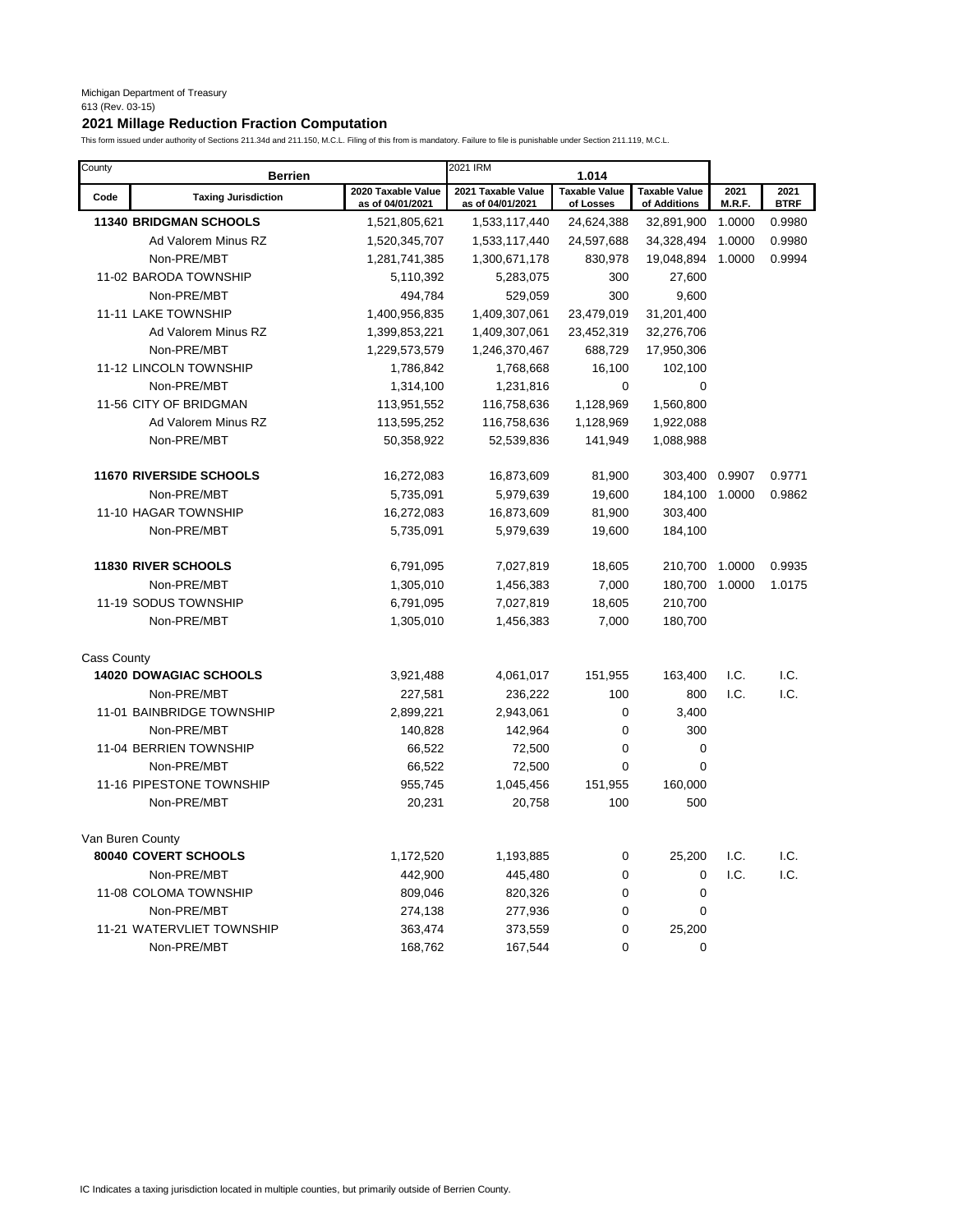# **2021 Millage Reduction Fraction Computation**

| County             | <b>Berrien</b>                 |                                        | 2021 IRM                               | 1.014                             |                                      |                |                     |
|--------------------|--------------------------------|----------------------------------------|----------------------------------------|-----------------------------------|--------------------------------------|----------------|---------------------|
| Code               | <b>Taxing Jurisdiction</b>     | 2020 Taxable Value<br>as of 04/01/2021 | 2021 Taxable Value<br>as of 04/01/2021 | <b>Taxable Value</b><br>of Losses | <b>Taxable Value</b><br>of Additions | 2021<br>M.R.F. | 2021<br><b>BTRF</b> |
|                    | <b>11340 BRIDGMAN SCHOOLS</b>  | 1,521,805,621                          | 1,533,117,440                          | 24,624,388                        | 32,891,900                           | 1.0000         | 0.9980              |
|                    | Ad Valorem Minus RZ            | 1,520,345,707                          | 1,533,117,440                          | 24,597,688                        | 34,328,494                           | 1.0000         | 0.9980              |
|                    | Non-PRE/MBT                    | 1,281,741,385                          | 1,300,671,178                          | 830,978                           | 19,048,894                           | 1.0000         | 0.9994              |
|                    | 11-02 BARODA TOWNSHIP          | 5,110,392                              | 5,283,075                              | 300                               | 27,600                               |                |                     |
|                    | Non-PRE/MBT                    | 494,784                                | 529,059                                | 300                               | 9,600                                |                |                     |
|                    | <b>11-11 LAKE TOWNSHIP</b>     | 1,400,956,835                          | 1,409,307,061                          | 23,479,019                        | 31,201,400                           |                |                     |
|                    | Ad Valorem Minus RZ            | 1,399,853,221                          | 1,409,307,061                          | 23,452,319                        | 32,276,706                           |                |                     |
|                    | Non-PRE/MBT                    | 1,229,573,579                          | 1,246,370,467                          | 688,729                           | 17,950,306                           |                |                     |
|                    | 11-12 LINCOLN TOWNSHIP         | 1,786,842                              | 1,768,668                              | 16,100                            | 102,100                              |                |                     |
|                    | Non-PRE/MBT                    | 1,314,100                              | 1,231,816                              | $\mathbf 0$                       | $\mathbf 0$                          |                |                     |
|                    | 11-56 CITY OF BRIDGMAN         | 113,951,552                            | 116,758,636                            | 1,128,969                         | 1,560,800                            |                |                     |
|                    | Ad Valorem Minus RZ            | 113,595,252                            | 116,758,636                            | 1,128,969                         | 1,922,088                            |                |                     |
|                    | Non-PRE/MBT                    | 50,358,922                             | 52,539,836                             | 141,949                           | 1,088,988                            |                |                     |
|                    | <b>11670 RIVERSIDE SCHOOLS</b> | 16,272,083                             | 16,873,609                             | 81,900                            | 303,400                              | 0.9907         | 0.9771              |
|                    | Non-PRE/MBT                    | 5,735,091                              | 5,979,639                              | 19,600                            | 184,100                              | 1.0000         | 0.9862              |
|                    | 11-10 HAGAR TOWNSHIP           | 16,272,083                             | 16,873,609                             | 81,900                            | 303,400                              |                |                     |
|                    | Non-PRE/MBT                    | 5,735,091                              | 5,979,639                              | 19,600                            | 184,100                              |                |                     |
|                    | <b>11830 RIVER SCHOOLS</b>     | 6,791,095                              | 7,027,819                              | 18,605                            | 210,700                              | 1.0000         | 0.9935              |
|                    | Non-PRE/MBT                    | 1,305,010                              | 1,456,383                              | 7,000                             | 180,700                              | 1.0000         | 1.0175              |
|                    | 11-19 SODUS TOWNSHIP           | 6,791,095                              | 7,027,819                              | 18,605                            | 210,700                              |                |                     |
|                    | Non-PRE/MBT                    | 1,305,010                              | 1,456,383                              | 7,000                             | 180,700                              |                |                     |
| <b>Cass County</b> |                                |                                        |                                        |                                   |                                      |                |                     |
|                    | 14020 DOWAGIAC SCHOOLS         | 3,921,488                              | 4,061,017                              | 151,955                           | 163,400                              | I.C.           | I.C.                |
|                    | Non-PRE/MBT                    | 227,581                                | 236,222                                | 100                               | 800                                  | I.C.           | I.C.                |
|                    | 11-01 BAINBRIDGE TOWNSHIP      | 2,899,221                              | 2,943,061                              | 0                                 | 3,400                                |                |                     |
|                    | Non-PRE/MBT                    | 140,828                                | 142,964                                | $\mathbf 0$                       | 300                                  |                |                     |
|                    | 11-04 BERRIEN TOWNSHIP         | 66,522                                 | 72,500                                 | $\mathbf 0$                       | $\mathbf 0$                          |                |                     |
|                    | Non-PRE/MBT                    | 66,522                                 | 72,500                                 | $\mathbf 0$                       | $\mathbf 0$                          |                |                     |
|                    | 11-16 PIPESTONE TOWNSHIP       | 955,745                                | 1,045,456                              | 151,955                           | 160,000                              |                |                     |
|                    | Non-PRE/MBT                    | 20,231                                 | 20,758                                 | 100                               | 500                                  |                |                     |
| Van Buren County   |                                |                                        |                                        |                                   |                                      |                |                     |
|                    | 80040 COVERT SCHOOLS           | 1,172,520                              | 1,193,885                              | 0                                 | 25,200                               | I.C.           | I.C.                |
|                    | Non-PRE/MBT                    | 442,900                                | 445,480                                | $\mathbf 0$                       | $\mathbf 0$                          | I.C.           | I.C.                |
|                    | 11-08 COLOMA TOWNSHIP          | 809,046                                | 820,326                                | 0                                 | $\mathbf 0$                          |                |                     |
|                    | Non-PRE/MBT                    | 274,138                                | 277,936                                | $\mathbf 0$                       | $\mathbf 0$                          |                |                     |
|                    | 11-21 WATERVLIET TOWNSHIP      | 363,474                                | 373,559                                | $\mathbf 0$                       | 25,200                               |                |                     |
|                    | Non-PRE/MBT                    | 168,762                                | 167,544                                | 0                                 | $\mathbf 0$                          |                |                     |